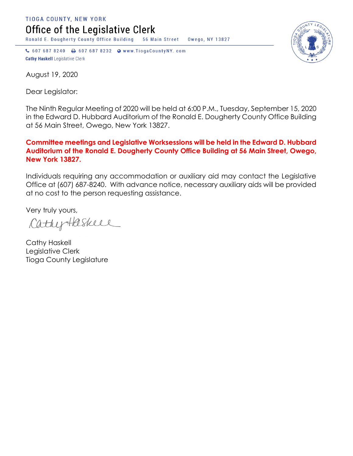TIOGA COUNTY, NEW YORK Office of the Legislative Clerk

Ronald E. Dougherty County Office Building 56 Main Street Owego, NY 13827

↓ 607 687 8240 → 607 687 8232 → www.TiogaCountyNY.com **Cathy Haskell Legislative Clerk** 



August 19, 2020

Dear Legislator:

The Ninth Regular Meeting of 2020 will be held at 6:00 P.M., Tuesday, September 15, 2020 in the Edward D. Hubbard Auditorium of the Ronald E. Dougherty County Office Building at 56 Main Street, Owego, New York 13827.

## **Committee meetings and Legislative Worksessions will be held in the Edward D. Hubbard Auditorium of the Ronald E. Dougherty County Office Building at 56 Main Street, Owego, New York 13827.**

Individuals requiring any accommodation or auxiliary aid may contact the Legislative Office at (607) 687-8240. With advance notice, necessary auxiliary aids will be provided at no cost to the person requesting assistance.

Very truly yours,

CathyHaskeel

Cathy Haskell Legislative Clerk Tioga County Legislature